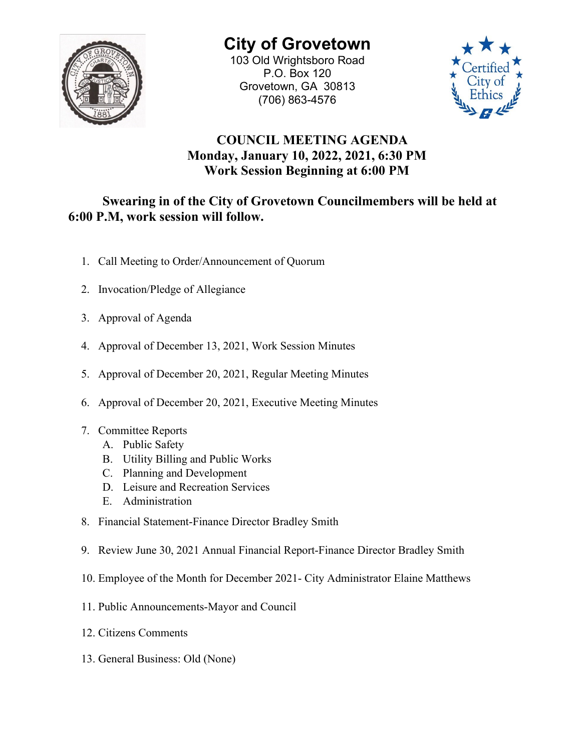

**City of Grovetown** 103 Old Wrightsboro Road P.O. Box 120 Grovetown, GA 30813 (706) 863-4576



## **COUNCIL MEETING AGENDA Monday, January 10, 2022, 2021, 6:30 PM Work Session Beginning at 6:00 PM**

## **Swearing in of the City of Grovetown Councilmembers will be held at 6:00 P.M, work session will follow.**

- 1. Call Meeting to Order/Announcement of Quorum
- 2. Invocation/Pledge of Allegiance
- 3. Approval of Agenda
- 4. Approval of December 13, 2021, Work Session Minutes
- 5. Approval of December 20, 2021, Regular Meeting Minutes
- 6. Approval of December 20, 2021, Executive Meeting Minutes
- 7. Committee Reports
	- A. Public Safety
	- B. Utility Billing and Public Works
	- C. Planning and Development
	- D. Leisure and Recreation Services
	- E. Administration
- 8. Financial Statement-Finance Director Bradley Smith
- 9. Review June 30, 2021 Annual Financial Report-Finance Director Bradley Smith
- 10. Employee of the Month for December 2021- City Administrator Elaine Matthews
- 11. Public Announcements-Mayor and Council
- 12. Citizens Comments
- 13. General Business: Old (None)